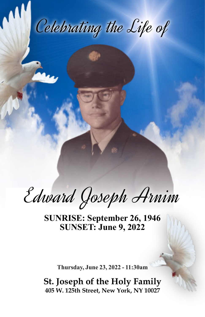Celebrating the Life of

Edward Joseph Arnim

**SUNRISE: September 26, 1946 SUNSET: June 9, 2022**

**Thursday, June 23, 2022 - 11:30am**

**St. Joseph of the Holy Family 405 W. 125th Street, New York, NY 10027**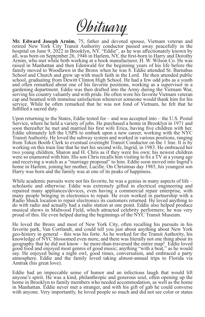Obituary

**Mr. Edward Joseph Arnim**, 75, father and devoted spouse, Vietnam veteran and retired New York City Transit Authority conductor passed away peacefully in the hospital on June 9, 2022 in Brooklyn, NY. "Eddie", as he was affectionately known by all, was born on September 26, 1946 in Harlem, NY, the first-born to Harry and Dorothy Arnim, who met while both working at a book manufacturer, H. W. Wilson Co. He was raised in Manhattan and then Edenwald for the beginning years of his life before the family moved to Woodlawn in the Bronx when he was 8. Eddie attended St. Barnabas School and Church and grew up with much faith in the Lord. He then attended public school, graduating from Dewitt Clinton High School. He had a few odd jobs as a youth and often remarked about one of his favorite positions, working as a supervisor in a gardening department. Eddie was then drafted into the Army during the Vietnam War, serving his country valiantly and with pride. He often wore his favorite Vietnam veteran cap and beamed with immense satisfaction whenever someone would thank him for his service. While he often remarked that he was not fond of Vietnam, he felt that he fulfilled a sacred duty.

Upon returning to the States, Eddie tested for – and was accepted into – the U.S. Postal Service, where he held a variety of jobs. He purchased a home in Brooklyn in 1971 and soon thereafter he met and married his first wife Erica, having five children with her. Eddie ultimately left the USPS to embark upon a new career, working with the NYC Transit Authority. He loved the subway system and worked in various positions, ranging from Token Booth Clerk to eventual overnight Transit Conductor on the 1 line. It is by working on this train line that he met his second wife, Ingrid, in 1983. He embraced her two young children, Sharon and H. Chris as if they were his own; his newest children were so enamored with him. His son Chris recalls him visiting to fix a TV at a young age and receiving a watch as a "marriage proposal" to him. Eddie soon moved into Ingrid's home in Harlem, joining her mother, Lucille. On Christmas day 1985, his youngest son Harry was born and the family was at one of its peaks of happiness.

While academic pursuits were not his favorite, he was a genius in many aspects of life – scholastic and otherwise. Eddie was extremely gifted in electrical engineering and repaired many appliances/devices, even having a commercial repair enterprise, with many people bringing in electronics to repair. He even worked in partnership with a Radio Shack location to repair electronics its customers returned. He loved anything to do with radio and actually had a radio station at one point. Eddie also helped produce musical shows in Midwood Field, which attracted celebrity performers; he was very proud of this. He even helped during the beginnings of the NYC Transit Museum.

He loved the Bronx and most of New York City, often recalling his pursuits in his favorite park, Van Cortlandt, and could tell you just about anything about New York geo-history in general – this was his forte. As he worked for the Transit Authority, his knowledge of NYC blossomed even more, and there was literally not one thing about its geography that he did not know – he more-than-traversed the entire map! Eddie loved good food and enjoyed most genres of good music; anything "with a beat," as he would say. He enjoyed being a night owl, good times, conversation, and embraced a party atmosphere. Eddie and the family loved taking almost-annual trips to Florida via Amtrak (his great love).

Eddie had an impeccable sense of humor and an infectious laugh that would lift anyone's spirit. He was a kind, philanthropic and generous soul, often opening up the home in Brooklyn to family members who needed accommodation, as well as the home in Manhattan. Eddie never met a stranger, and with his gift of gab he could converse with anyone. Very importantly, he loved people so much and did not see color or status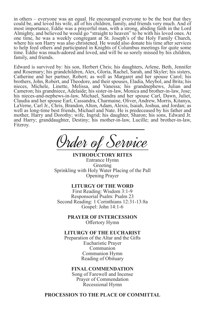in others – everyone was an equal. He encouraged everyone to be the best that they could be, and loved his wife, all of his children, family, and friends very much. And of most importance, Eddie was a prayerful man, with a strong, abiding faith in the Lord Almighty, and believed he would go "straight to heaven" to be with his loved ones. At one time, he was a weekly congregant at St. Joseph's of the Holy Family Church, where his son Harry was also christened. He would also donate his time after services to help feed others and participated in Knights of Columbus meetings for quite some time. Eddie was much-adored and loved, and will be so sorely missed by his children, family, and friends.

Edward is survived by: his son, Herbert Chris; his daughters, Arlene, Beth, Jennifer and Rosemary; his grandchildren, Alex, Gloria, Rachel, Sarah, and Skyler; his sisters, Catherine and her partner, Robert; as well as Margaret and her spouse Carol; his brothers, John, Robert, and Theodore, and their spouses, Eladia, Meybol, and Brita; his nieces, Michele, Linette, Melissa, and Vanessa; his grandnephews, Julian and Cameron; his grandniece, Adelaide; his sister-in-law, Monica and brother-in-law, Jose; his nieces-and-nephews-in-law, Michael, Sandra and her spouse Carl, Dawn, Juliet, Claudia and her spouse Earl, Cassandra, Charmaine, Oliver, Andrew, Morris, Kitanya, LaVerne, Carl Jr., Chris, Brandon, Alton, Adam, Alexis, Isaiah, Joshua, and Jordan; as well as long-time best friends, Michael and Nate. He is predeceased by his father and mother, Harry and Dorothy; wife, Ingrid; his daughter, Sharon; his sons, Edward Jr. and Harry; granddaughter, Destiny; his mother-in-law, Lucille; and brother-in-law, Fitzroy.

Order of Service

**INTRODUCTORY RITES** Entrance Hymn Greeting Sprinkling with Holy Water Placing of the Pall Opening Prayer

## **LITURGY OF THE WORD**

First Reading: Wisdom 3:1-9 Responsorial Psalm: Psalm 23 Second Reading: 1 Corinthians 12:31-13:8a Gospel: John 14:1-6

> **PRAYER OF INTERCESSION** Offertory Hymn

**LITURGY OF THE EUCHARIST**

Preparation of the Altar and the Gifts Eucharistic Prayer Communion Communion Hymn Reading of Obituary

## **FINAL COMMENDATION**

Song of Farewell and Incense Prayer of Commendation Recessional Hymn

**PROCESSION TO THE PLACE OF COMMITTAL**